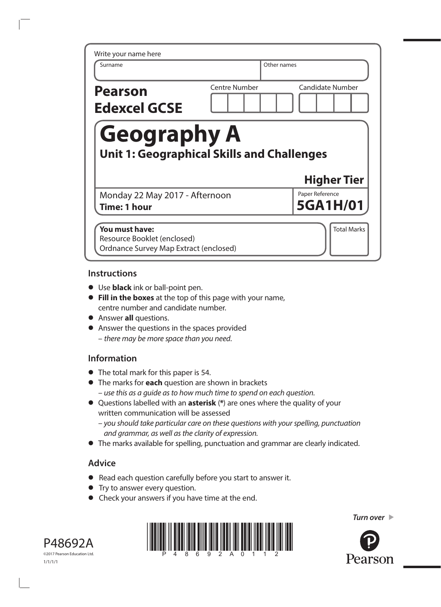| Write your name here                                                    |               |                                    |
|-------------------------------------------------------------------------|---------------|------------------------------------|
| Surname                                                                 |               | Other names                        |
| <b>Pearson</b><br><b>Edexcel GCSE</b>                                   | Centre Number | <b>Candidate Number</b>            |
|                                                                         |               |                                    |
| <b>Geography A</b><br><b>Unit 1: Geographical Skills and Challenges</b> |               |                                    |
|                                                                         |               | <b>Higher Tier</b>                 |
| Monday 22 May 2017 - Afternoon<br><b>Time: 1 hour</b>                   |               | Paper Reference<br><b>5GA1H/01</b> |

### **Instructions**

- **•** Use **black** ink or ball-point pen.
- **• Fill in the boxes** at the top of this page with your name, centre number and candidate number.
- **•** Answer **all** questions.
- **•** Answer the questions in the spaces provided – *there may be more space than you need*.

### **Information**

- **•** The total mark for this paper is 54.
- **•** The marks for **each** question are shown in brackets *– use this as a guide as to how much time to spend on each question.*
- **•** Questions labelled with an **asterisk** (**\***) are ones where the quality of your written communication will be assessed
	- *you should take particular care on these questions with your spelling, punctuation and grammar, as well as the clarity of expression.*
- **•** The marks available for spelling, punctuation and grammar are clearly indicated.

# **Advice**

- **•** Read each question carefully before you start to answer it.
- **•** Try to answer every question.
- **•** Check your answers if you have time at the end.







Pearson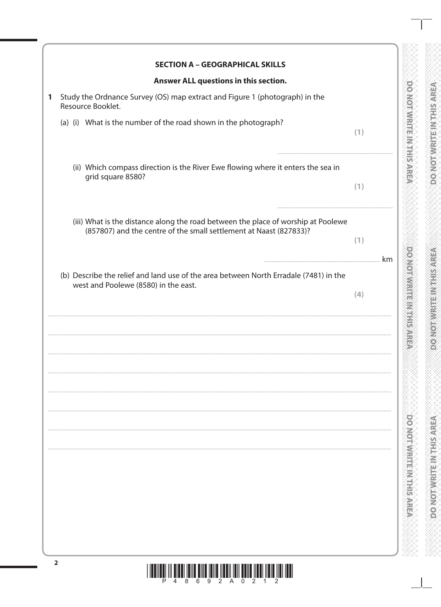| <b>SECTION A - GEOGRAPHICAL SKILLS</b>                                                                                                                  |           |
|---------------------------------------------------------------------------------------------------------------------------------------------------------|-----------|
| Answer ALL questions in this section.                                                                                                                   |           |
| Study the Ordnance Survey (OS) map extract and Figure 1 (photograph) in the<br>Resource Booklet.                                                        |           |
| (a) (i) What is the number of the road shown in the photograph?                                                                                         | (1)       |
| (ii) Which compass direction is the River Ewe flowing where it enters the sea in<br>grid square 8580?                                                   | (1)       |
| (iii) What is the distance along the road between the place of worship at Poolewe<br>(857807) and the centre of the small settlement at Naast (827833)? | (1)       |
| (b) Describe the relief and land use of the area between North Erradale (7481) in the<br>west and Poolewe (8580) in the east.                           | km<br>(4) |
|                                                                                                                                                         |           |
|                                                                                                                                                         |           |
|                                                                                                                                                         |           |
|                                                                                                                                                         |           |
|                                                                                                                                                         |           |
|                                                                                                                                                         |           |
|                                                                                                                                                         |           |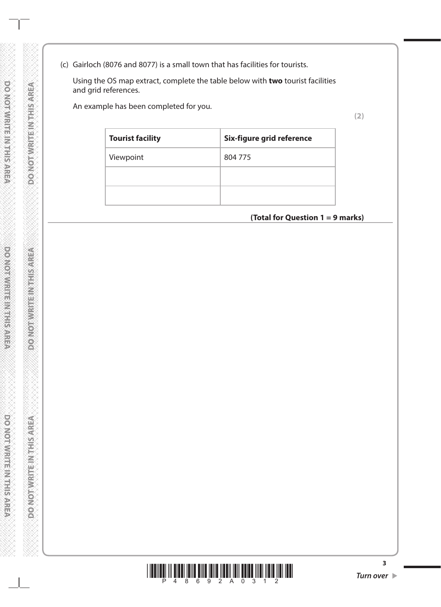(c) Gairloch (8076 and 8077) is a small town that has facilities for tourists.

 Using the OS map extract, complete the table below with **two** tourist facilities and grid references.

An example has been completed for you.

**Tourist facility Six-figure grid reference** Viewpoint 804 775

# **(Total for Question 1 = 9 marks)**



**3**

**(2)**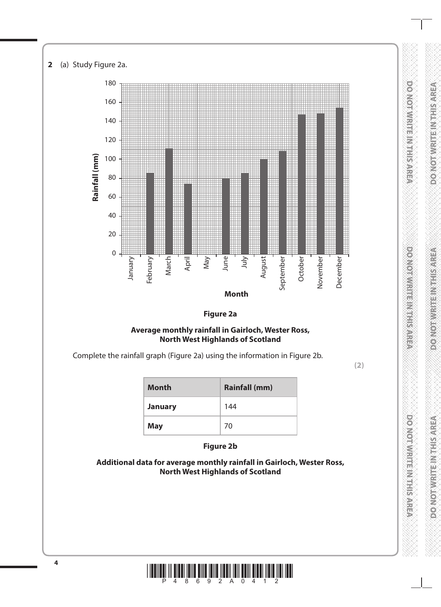

#### **Figure 2a**

#### **Average monthly rainfall in Gairloch, Wester Ross, North West Highlands of Scotland**

Complete the rainfall graph (Figure 2a) using the information in Figure 2b.

**(2)**

**DO NORMAN ET LAN ET SANCO** 

**DOMOUTIVE IN STREET** 

**DO NOLWARDED VEHSARE**A

| <b>Month</b>   | <b>Rainfall (mm)</b> |
|----------------|----------------------|
| <b>January</b> | 144                  |
| <b>May</b>     | 70                   |

**Figure 2b**

**Additional data for average monthly rainfall in Gairloch, Wester Ross, North West Highlands of Scotland**

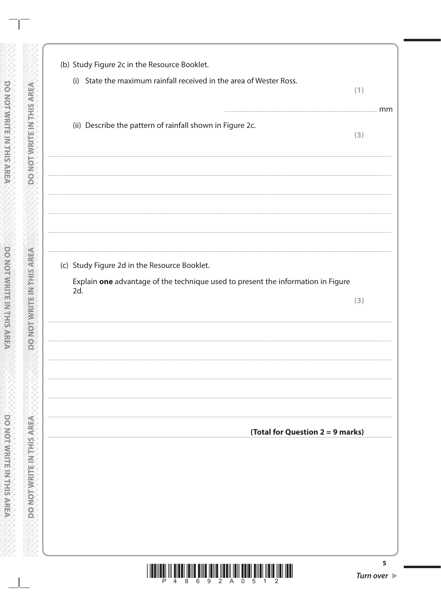| (b) Study Figure 2c in the Resource Booklet.                                            |                                 |    |
|-----------------------------------------------------------------------------------------|---------------------------------|----|
| (i) State the maximum rainfall received in the area of Wester Ross.                     | (1)                             |    |
| (ii) Describe the pattern of rainfall shown in Figure 2c.                               | (3)                             | mm |
|                                                                                         |                                 |    |
|                                                                                         |                                 |    |
|                                                                                         |                                 |    |
| (c) Study Figure 2d in the Resource Booklet.                                            |                                 |    |
| Explain one advantage of the technique used to present the information in Figure<br>2d. | (3)                             |    |
|                                                                                         |                                 |    |
|                                                                                         |                                 |    |
|                                                                                         |                                 |    |
| (Total for Question 2 = 9 marks)                                                        |                                 |    |
|                                                                                         |                                 |    |
|                                                                                         |                                 |    |
|                                                                                         |                                 |    |
|                                                                                         |                                 |    |
| 9 2                                                                                     | Turn over $\blacktriangleright$ | 5  |

**DOMOT WRITE INTHIS AREA** 

**DO NOT WRITEINTHIS AREA** 

**OR ANDERWRITEIN THIS AREA**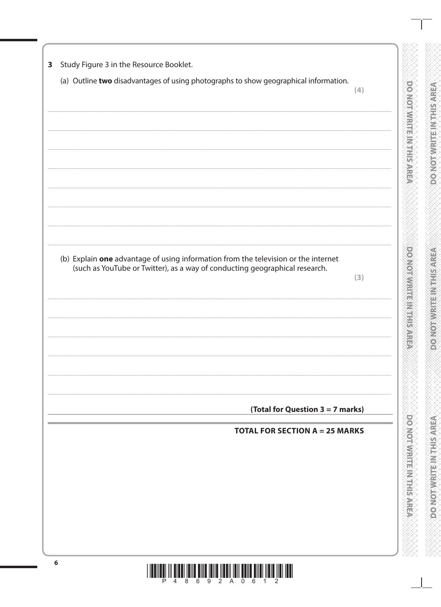Study Figure 3 in the Resource Booklet.  $\overline{\mathbf{3}}$ (a) Outline two disadvantages of using photographs to show geographical information. **DOONOLOGICAL STRATEGY**  $(4)$ **DOMOTOWRITE MEET SAFE** (b) Explain one advantage of using information from the television or the internet (such as YouTube or Twitter), as a way of conducting geographical research.  $(3)$ (Total for Question  $3 = 7$  marks) **DO NOLWARDED VEHSARE**A **TOTAL FOR SECTION A = 25 MARKS**  $6\phantom{1}6$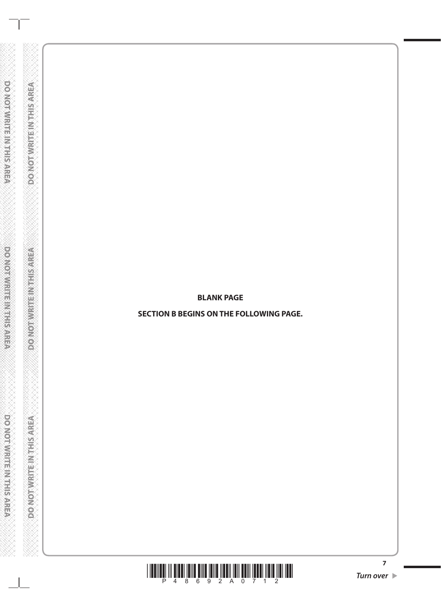**BLANK PAGE**

**DONOT WRITE IN THIS AREA** 

**DOMOTIVE TE INTHIS AREA** 

**DO NOT WRITEIN THIS AREA** 

**SECTION B BEGINS ON THE FOLLOWING PAGE.**



**7**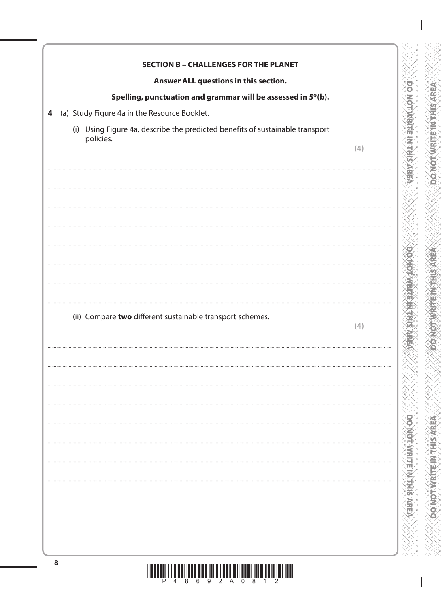| Answer ALL questions in this section.                                         |     |
|-------------------------------------------------------------------------------|-----|
| Spelling, punctuation and grammar will be assessed in 5*(b).                  |     |
| (a) Study Figure 4a in the Resource Booklet.                                  |     |
| (i) Using Figure 4a, describe the predicted benefits of sustainable transport |     |
| policies.                                                                     | (4) |
|                                                                               |     |
|                                                                               |     |
|                                                                               |     |
|                                                                               |     |
|                                                                               |     |
|                                                                               |     |
|                                                                               |     |
|                                                                               |     |
|                                                                               |     |
|                                                                               |     |
| (ii) Compare two different sustainable transport schemes.                     | (4) |
|                                                                               |     |
|                                                                               |     |
|                                                                               |     |
|                                                                               |     |
|                                                                               |     |
|                                                                               |     |
|                                                                               |     |
|                                                                               |     |
|                                                                               |     |
|                                                                               |     |
|                                                                               |     |
|                                                                               |     |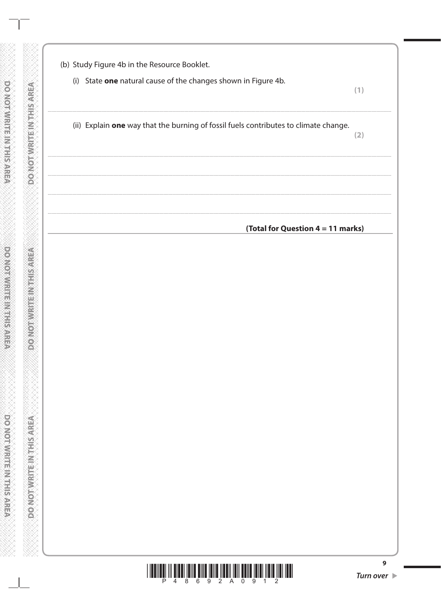| (b) Study Figure 4b in the Resource Booklet.                   |                                                                                      |     |
|----------------------------------------------------------------|--------------------------------------------------------------------------------------|-----|
| (i) State one natural cause of the changes shown in Figure 4b. |                                                                                      | (1) |
|                                                                | (ii) Explain one way that the burning of fossil fuels contributes to climate change. | (2) |
|                                                                |                                                                                      |     |
|                                                                |                                                                                      |     |
|                                                                | (Total for Question 4 = 11 marks)                                                    |     |
|                                                                |                                                                                      |     |
|                                                                |                                                                                      |     |
|                                                                |                                                                                      |     |
|                                                                |                                                                                      |     |
|                                                                |                                                                                      |     |
|                                                                |                                                                                      |     |
|                                                                |                                                                                      |     |

**DONOT WRITE INTHIS AREA** 

**DO NOT WRITEINTHIS AREA** 

**DO NOT WRITE IN THIS AREA** 



9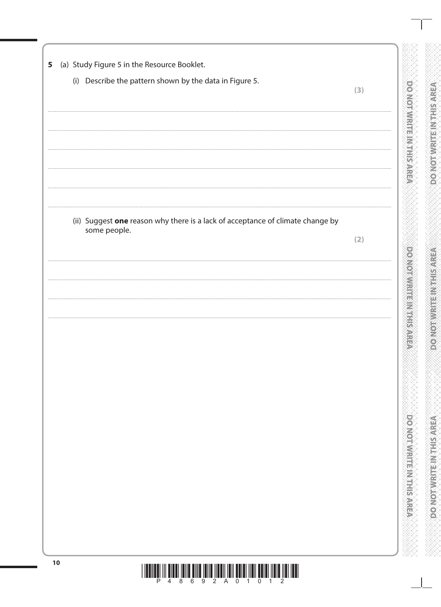|                                                                                                | (3) |
|------------------------------------------------------------------------------------------------|-----|
|                                                                                                |     |
|                                                                                                |     |
|                                                                                                |     |
|                                                                                                |     |
|                                                                                                |     |
| (ii) Suggest one reason why there is a lack of acceptance of climate change by<br>some people. |     |
|                                                                                                | (2) |
|                                                                                                |     |
|                                                                                                |     |
|                                                                                                |     |
|                                                                                                |     |
|                                                                                                |     |
|                                                                                                |     |
|                                                                                                |     |
|                                                                                                |     |
|                                                                                                |     |
|                                                                                                |     |
|                                                                                                |     |
|                                                                                                |     |
|                                                                                                |     |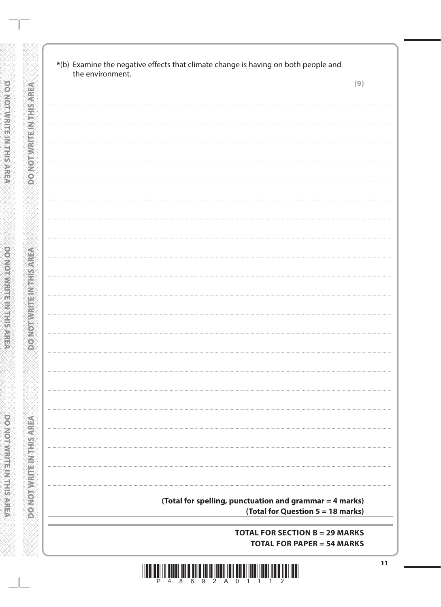| (Total for spelling, punctuation and grammar = 4 marks) |
|---------------------------------------------------------|
| (Total for Question 5 = 18 marks)                       |
|                                                         |

**DONOT WRITE IN THIS AREA** 

**DO NOTWATE INTHIS AREA** 

DO NOT WRITE IN THIS AREA